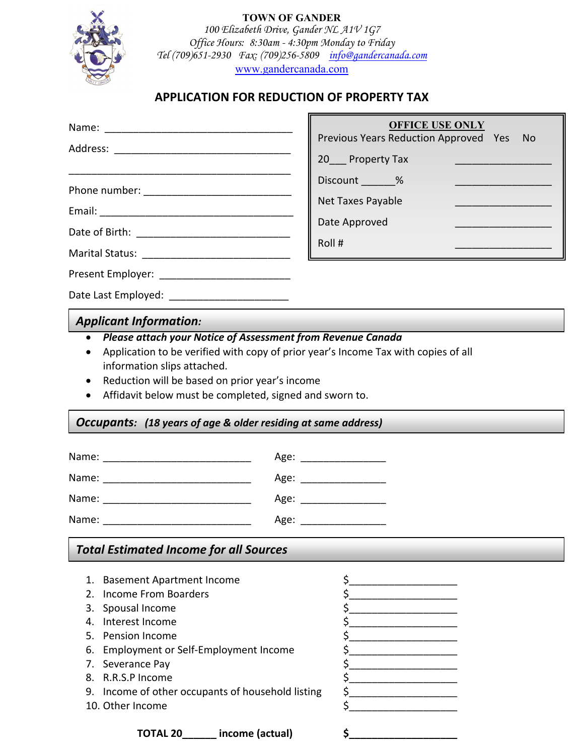

## **TOWN OF GANDER** *100 Elizabeth Drive, Gander NL A1V 1G7 Office Hours: 8:30am - 4:30pm Monday to Friday Tel (709)651-2930 Fax: (709)256-5809 info@gandercanada.com* www.gandercanada.com

## **APPLICATION FOR REDUCTION OF PROPERTY TAX**

 $\mathbf{r}$ 

|                                                                                                                                                                                                                                                                                                                          | <b>OFFICE USE ONLY</b><br>Previous Years Reduction Approved Yes<br>No.                                                                    |  |
|--------------------------------------------------------------------------------------------------------------------------------------------------------------------------------------------------------------------------------------------------------------------------------------------------------------------------|-------------------------------------------------------------------------------------------------------------------------------------------|--|
|                                                                                                                                                                                                                                                                                                                          |                                                                                                                                           |  |
|                                                                                                                                                                                                                                                                                                                          | Discount _______%<br><u> 1989 - Johann Barn, mars eta bat erroman erroman erroman erroman erroman erroman erroman erroman erroman err</u> |  |
|                                                                                                                                                                                                                                                                                                                          | Net Taxes Payable                                                                                                                         |  |
|                                                                                                                                                                                                                                                                                                                          | Date Approved                                                                                                                             |  |
|                                                                                                                                                                                                                                                                                                                          | Roll#<br><u> 1980 - Jan James James Barnett, martin eta idazlea (</u>                                                                     |  |
|                                                                                                                                                                                                                                                                                                                          |                                                                                                                                           |  |
|                                                                                                                                                                                                                                                                                                                          |                                                                                                                                           |  |
| Date Last Employed: ________________________                                                                                                                                                                                                                                                                             |                                                                                                                                           |  |
| <b>Applicant Information:</b>                                                                                                                                                                                                                                                                                            |                                                                                                                                           |  |
| Application to be verified with copy of prior year's Income Tax with copies of all<br>information slips attached.<br>Reduction will be based on prior year's income<br>$\bullet$<br>Affidavit below must be completed, signed and sworn to.<br>٠<br><b>Occupants:</b> (18 years of age & older residing at same address) |                                                                                                                                           |  |
|                                                                                                                                                                                                                                                                                                                          |                                                                                                                                           |  |
|                                                                                                                                                                                                                                                                                                                          | Age: __________________                                                                                                                   |  |
|                                                                                                                                                                                                                                                                                                                          |                                                                                                                                           |  |
|                                                                                                                                                                                                                                                                                                                          | Age: ____________________                                                                                                                 |  |
|                                                                                                                                                                                                                                                                                                                          |                                                                                                                                           |  |
| <b>Total Estimated Income for all Sources</b>                                                                                                                                                                                                                                                                            |                                                                                                                                           |  |
| 1. Basement Apartment Income<br>Income From Boarders<br>2.<br>3. Spousal Income<br>4. Interest Income<br>5. Pension Income<br>6. Employment or Self-Employment Income<br>7. Severance Pay<br>8. R.R.S.P Income<br>9. Income of other occupants of household listing<br>10. Other Income                                  | \$<br>\$<br>\$<br>\$                                                                                                                      |  |
| income (actual)<br>TOTAL 20                                                                                                                                                                                                                                                                                              |                                                                                                                                           |  |